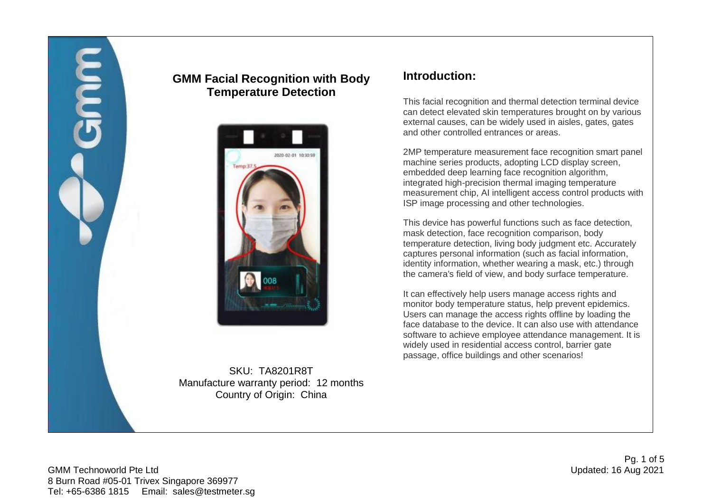

## **GMM Facial Recognition with Body Temperature Detection**



SKU: TA8201R8T Manufacture warranty period: 12 months Country of Origin: China

### **Introduction:**

This facial recognition and thermal detection terminal device can detect elevated skin temperatures brought on by various external causes, can be widely used in aisles, gates, gates and other controlled entrances or areas.

2MP temperature measurement face recognition smart panel machine series products, adopting LCD display screen, embedded deep learning face recognition algorithm, integrated high-precision thermal imaging temperature measurement chip, AI intelligent access control products with ISP image processing and other technologies.

This device has powerful functions such as face detection, mask detection, face recognition comparison, body temperature detection, living body judgment etc. Accurately captures personal information (such as facial information, identity information, whether wearing a mask, etc.) through the camera's field of view, and body surface temperature.

It can effectively help users manage access rights and monitor body temperature status, help prevent epidemics. Users can manage the access rights offline by loading the face database to the device. It can also use with attendance software to achieve employee attendance management. It is widely used in residential access control, barrier gate passage, office buildings and other scenarios!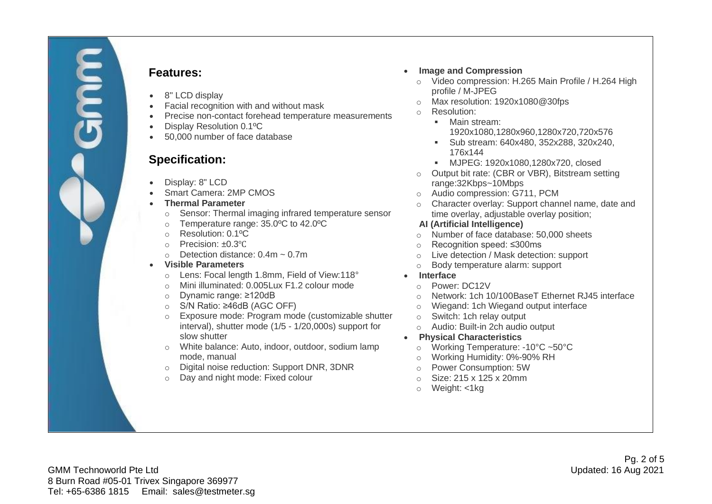

### **Features:**

- 8" LCD display
- Facial recognition with and without mask
- Precise non-contact forehead temperature measurements
- Display Resolution 0.1ºC
- 50,000 number of face database

# **Specification:**

- Display: 8" LCD
- Smart Camera: 2MP CMOS
- **Thermal Parameter**
	- o Sensor: Thermal imaging infrared temperature sensor
	- o Temperature range: 35.0ºC to 42.0ºC
	- o Resolution: 0.1ºC
	- o Precision: ±0.3℃
	- $\circ$  Detection distance: 0.4m  $\sim$  0.7m
- **Visible Parameters**
	- o Lens: Focal length 1.8mm, Field of View:118°
	- o Mini illuminated: 0.005Lux F1.2 colour mode
	- o Dynamic range: ≥120dB
	- o S/N Ratio: ≥46dB (AGC OFF)
	- o Exposure mode: Program mode (customizable shutter interval), shutter mode (1/5 - 1/20,000s) support for slow shutter
	- o White balance: Auto, indoor, outdoor, sodium lamp mode, manual
	- o Digital noise reduction: Support DNR, 3DNR
	- o Day and night mode: Fixed colour
- **Image and Compression**
	- o Video compression: H.265 Main Profile / H.264 High profile / M-JPEG
	- o Max resolution: 1920x1080@30fps
	- o Resolution:
		- Main stream: 1920x1080,1280x960,1280x720,720x576
		- Sub stream: 640x480, 352x288, 320x240, 176x144
		- MJPEG: 1920x1080,1280x720, closed
	- o Output bit rate: (CBR or VBR), Bitstream setting range:32Kbps~10Mbps
	- o Audio compression: G711, PCM
	- o Character overlay: Support channel name, date and time overlay, adjustable overlay position;

#### **AI (Artificial Intelligence)**

- o Number of face database: 50,000 sheets
- o Recognition speed: ≤300ms
- o Live detection / Mask detection: support
- o Body temperature alarm: support
- **Interface**
	- o Power: DC12V
	- o Network: 1ch 10/100BaseT Ethernet RJ45 interface
	- o Wiegand: 1ch Wiegand output interface
	- o Switch: 1ch relay output
	- o Audio: Built-in 2ch audio output
- **Physical Characteristics**
	- o Working Temperature: -10°C ~50°C
	- o Working Humidity: 0%-90% RH
	- o Power Consumption: 5W
	- o Size: 215 x 125 x 20mm
	- o Weight: <1kg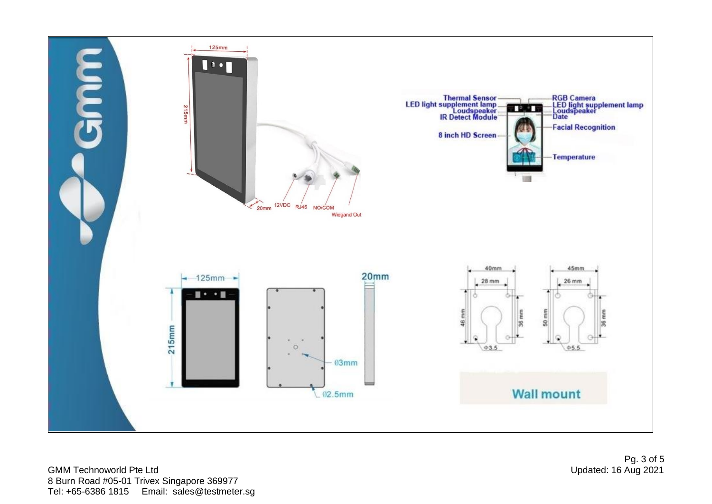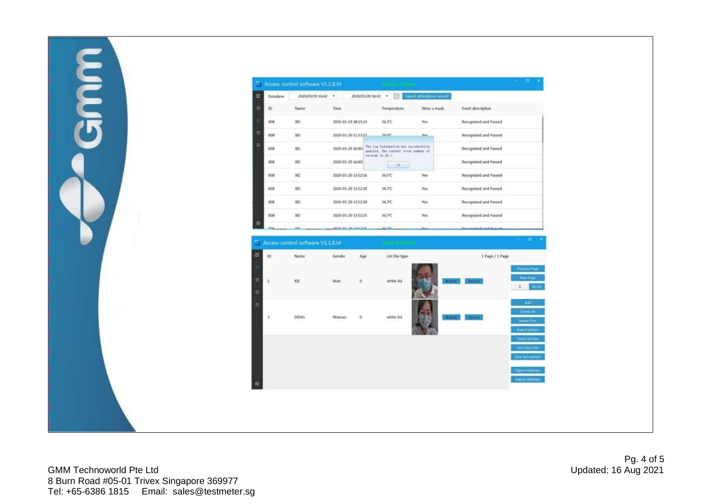